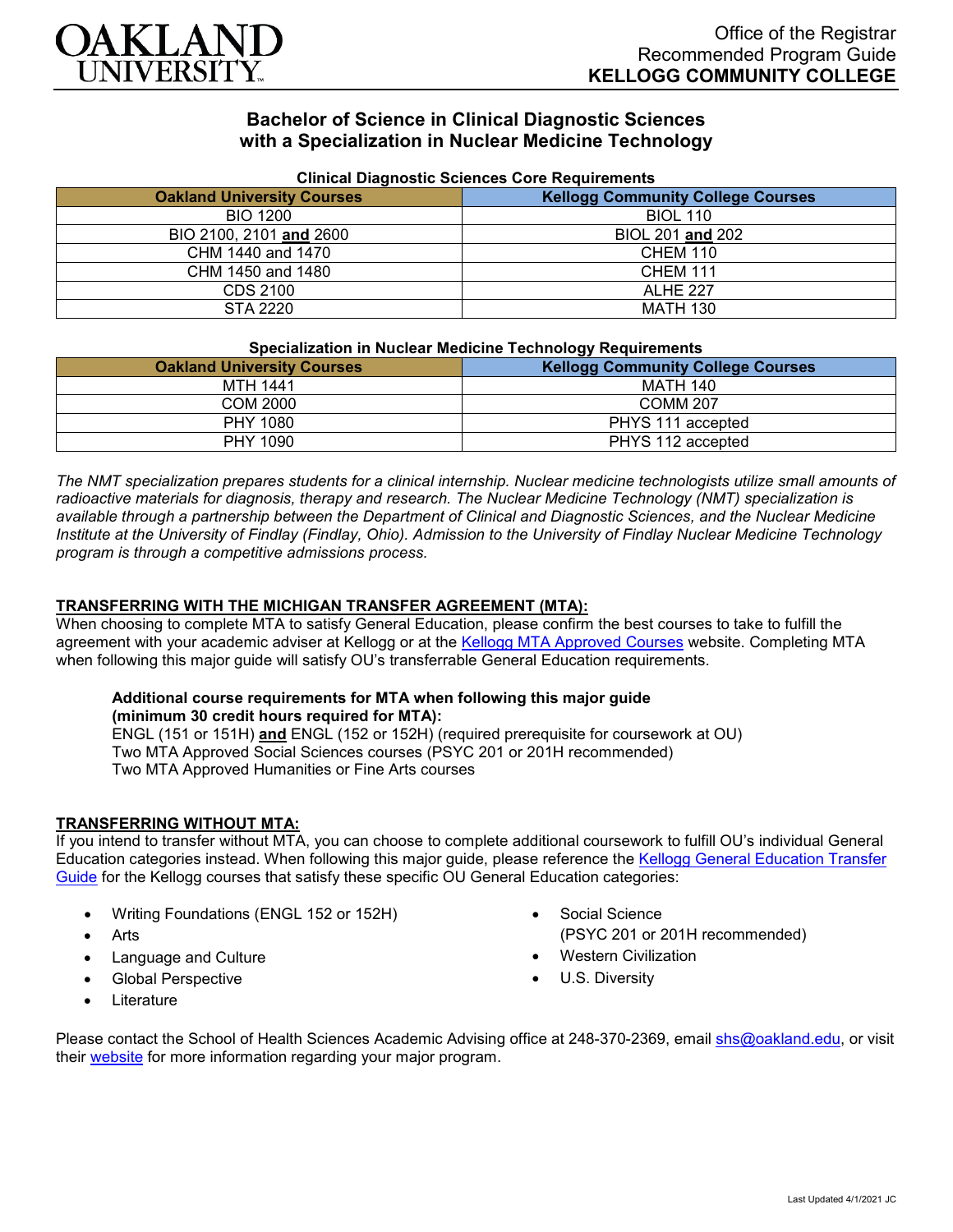

# **Bachelor of Science in Clinical Diagnostic Sciences with a Specialization in Nuclear Medicine Technology**

| Cilincal Diagnostic Sciences Core Reguliements |                                          |
|------------------------------------------------|------------------------------------------|
| <b>Oakland University Courses</b>              | <b>Kellogg Community College Courses</b> |
| BIO 1200                                       | <b>BIOL 110</b>                          |
| BIO 2100, 2101 and 2600                        | BIOL 201 and 202                         |
| CHM 1440 and 1470                              | <b>CHEM 110</b>                          |
| CHM 1450 and 1480                              | <b>CHEM 111</b>                          |
| CDS 2100                                       | ALHE 227                                 |
| STA 2220                                       | <b>MATH 130</b>                          |

## **Clinical Diagnostic Sciences Core Requirements**

## **Specialization in Nuclear Medicine Technology Requirements**

| <u>abaammanan ni naaraan maaramia raamiaraali raammamanaa</u> |                                          |
|---------------------------------------------------------------|------------------------------------------|
| <b>Oakland University Courses</b>                             | <b>Kellogg Community College Courses</b> |
| <b>MTH 1441</b>                                               | <b>MATH 140</b>                          |
| COM 2000                                                      | <b>COMM 207</b>                          |
| PHY 1080                                                      | PHYS 111 accepted                        |
| PHY 1090                                                      | PHYS 112 accepted                        |

*The NMT specialization prepares students for a clinical internship. Nuclear medicine technologists utilize small amounts of radioactive materials for diagnosis, therapy and research. The Nuclear Medicine Technology (NMT) specialization is available through a partnership between the Department of Clinical and Diagnostic Sciences, and the Nuclear Medicine Institute at the University of Findlay (Findlay, Ohio). Admission to the University of Findlay Nuclear Medicine Technology program is through a competitive admissions process.*

## **TRANSFERRING WITH THE MICHIGAN TRANSFER AGREEMENT (MTA):**

When choosing to complete MTA to satisfy General Education, please confirm the best courses to take to fulfill the agreement with your academic adviser at Kellogg or at the [Kellogg MTA Approved Courses](http://catalog.kellogg.edu/content.php?catoid=16&navoid=705#michigan-transfer-agreement) website. Completing MTA when following this major guide will satisfy OU's transferrable General Education requirements.

## **Additional course requirements for MTA when following this major guide (minimum 30 credit hours required for MTA):**

ENGL (151 or 151H) **and** ENGL (152 or 152H) (required prerequisite for coursework at OU) Two MTA Approved Social Sciences courses (PSYC 201 or 201H recommended) Two MTA Approved Humanities or Fine Arts courses

## **TRANSFERRING WITHOUT MTA:**

If you intend to transfer without MTA, you can choose to complete additional coursework to fulfill OU's individual General Education categories instead. When following this major guide, please reference the [Kellogg General Education Transfer](https://www.oakland.edu/Assets/Oakland/program-guides/kellogg-community-college/university-general-education-requirements/Kellogg%20Gen%20Ed.pdf)  [Guide](https://www.oakland.edu/Assets/Oakland/program-guides/kellogg-community-college/university-general-education-requirements/Kellogg%20Gen%20Ed.pdf) for the Kellogg courses that satisfy these specific OU General Education categories:

- Writing Foundations (ENGL 152 or 152H)
- Arts
- Language and Culture
- Global Perspective
- **Literature**

Social Science

(PSYC 201 or 201H recommended)

- Western Civilization
- U.S. Diversity

Please contact the School of Health Sciences Academic Advising office at 248-370-2369, email [shs@oakland.edu,](mailto:shs@oakland.edu) or visit their [website](http://www.oakland.edu/shs/advising) for more information regarding your major program.